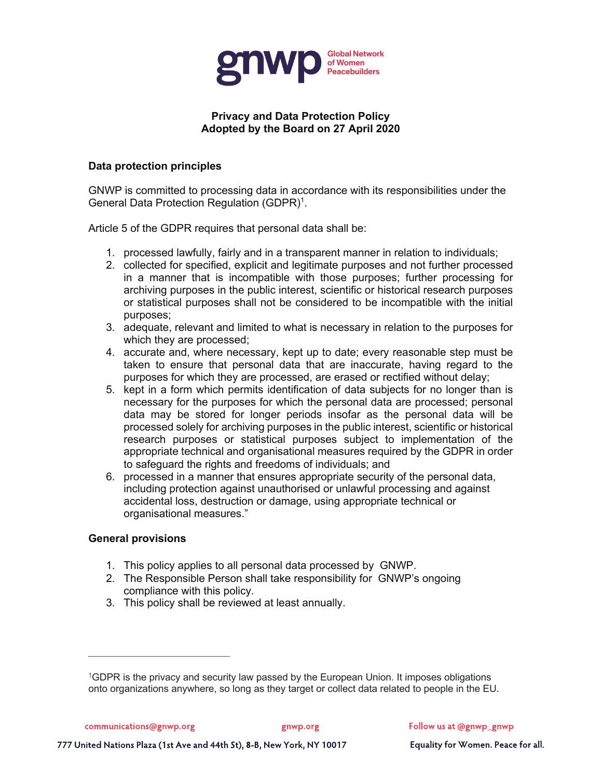

# **Privacy and Data Protection Policy Adopted by the Board on 27 April 2020**

## **Data protection principles**

GNWP is committed to processing data in accordance with its responsibilities under the General Data Protection Regulation (GDPR)<sup>1</sup>.

Article 5 of the GDPR requires that personal data shall be:

- 1. processed lawfully, fairly and in a transparent manner in relation to individuals;
- 2. collected for specified, explicit and legitimate purposes and not further processed in a manner that is incompatible with those purposes; further processing for archiving purposes in the public interest, scientific or historical research purposes or statistical purposes shall not be considered to be incompatible with the initial purposes;
- 3. adequate, relevant and limited to what is necessary in relation to the purposes for which they are processed;
- 4. accurate and, where necessary, kept up to date; every reasonable step must be taken to ensure that personal data that are inaccurate, having regard to the purposes for which they are processed, are erased or rectified without delay;
- 5. kept in a form which permits identification of data subjects for no longer than is necessary for the purposes for which the personal data are processed; personal data may be stored for longer periods insofar as the personal data will be processed solely for archiving purposes in the public interest, scientific or historical research purposes or statistical purposes subject to implementation of the appropriate technical and organisational measures required by the GDPR in order to safeguard the rights and freedoms of individuals; and
- 6. processed in a manner that ensures appropriate security of the personal data, including protection against unauthorised or unlawful processing and against accidental loss, destruction or damage, using appropriate technical or organisational measures."

### **General provisions**

- 1. This policy applies to all personal data processed by GNWP.
- 2. The Responsible Person shall take responsibility for GNWP's ongoing compliance with this policy.
- 3. This policy shall be reviewed at least annually.

<sup>1</sup>GDPR is the privacy and security law passed by the European Union. It imposes obligations onto organizations anywhere, so long as they target or collect data related to people in the EU.